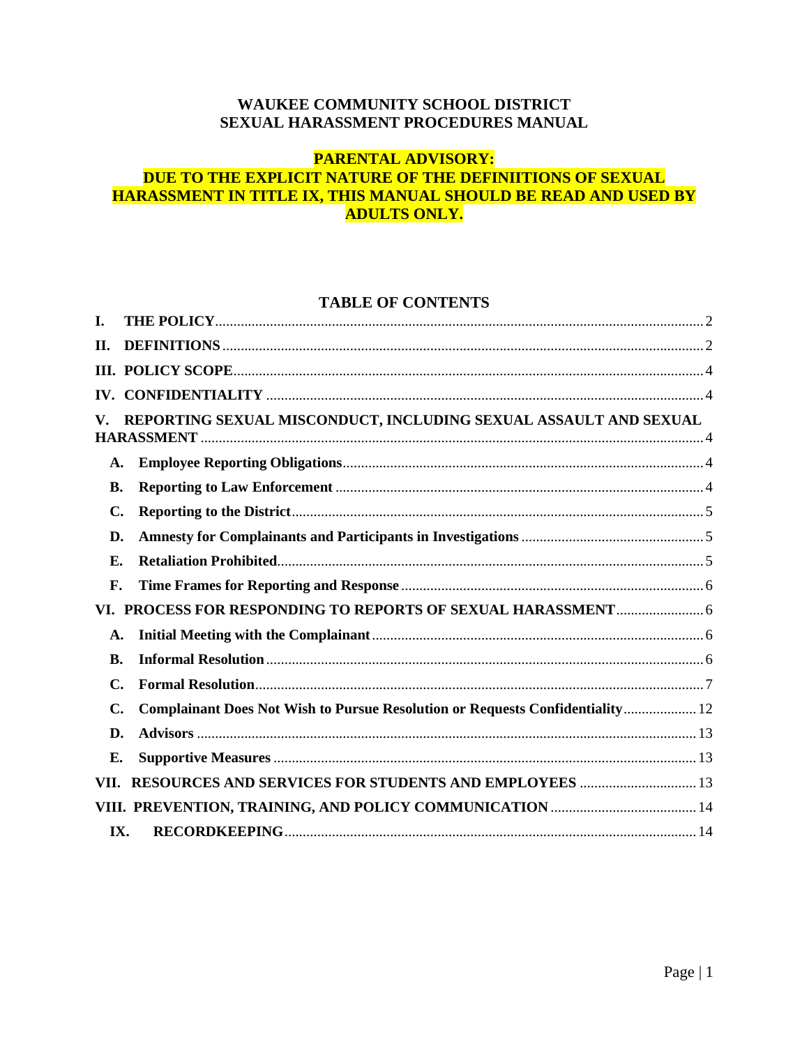### WAUKEE COMMUNITY SCHOOL DISTRICT SEXUAL HARASSMENT PROCEDURES MANUAL

#### **PARENTAL ADVISORY:** DUE TO THE EXPLICIT NATURE OF THE DEFINIITIONS OF SEXUAL HARASSMENT IN TITLE IX, THIS MANUAL SHOULD BE READ AND USED BY **ADULTS ONLY.**

### **TABLE OF CONTENTS**

| L              |                                                                               |  |
|----------------|-------------------------------------------------------------------------------|--|
| Н.             |                                                                               |  |
|                |                                                                               |  |
|                |                                                                               |  |
| V.             | REPORTING SEXUAL MISCONDUCT, INCLUDING SEXUAL ASSAULT AND SEXUAL              |  |
| $\mathbf{A}$ . |                                                                               |  |
| <b>B.</b>      |                                                                               |  |
| C.             |                                                                               |  |
| D.             |                                                                               |  |
| E.             |                                                                               |  |
| F.             |                                                                               |  |
| VI.            |                                                                               |  |
| A.             |                                                                               |  |
| <b>B.</b>      |                                                                               |  |
| C.             |                                                                               |  |
| C.             | Complainant Does Not Wish to Pursue Resolution or Requests Confidentiality 12 |  |
| D.             |                                                                               |  |
| Е.             |                                                                               |  |
| VII.           | <b>RESOURCES AND SERVICES FOR STUDENTS AND EMPLOYEES  13</b>                  |  |
|                |                                                                               |  |
| IX.            |                                                                               |  |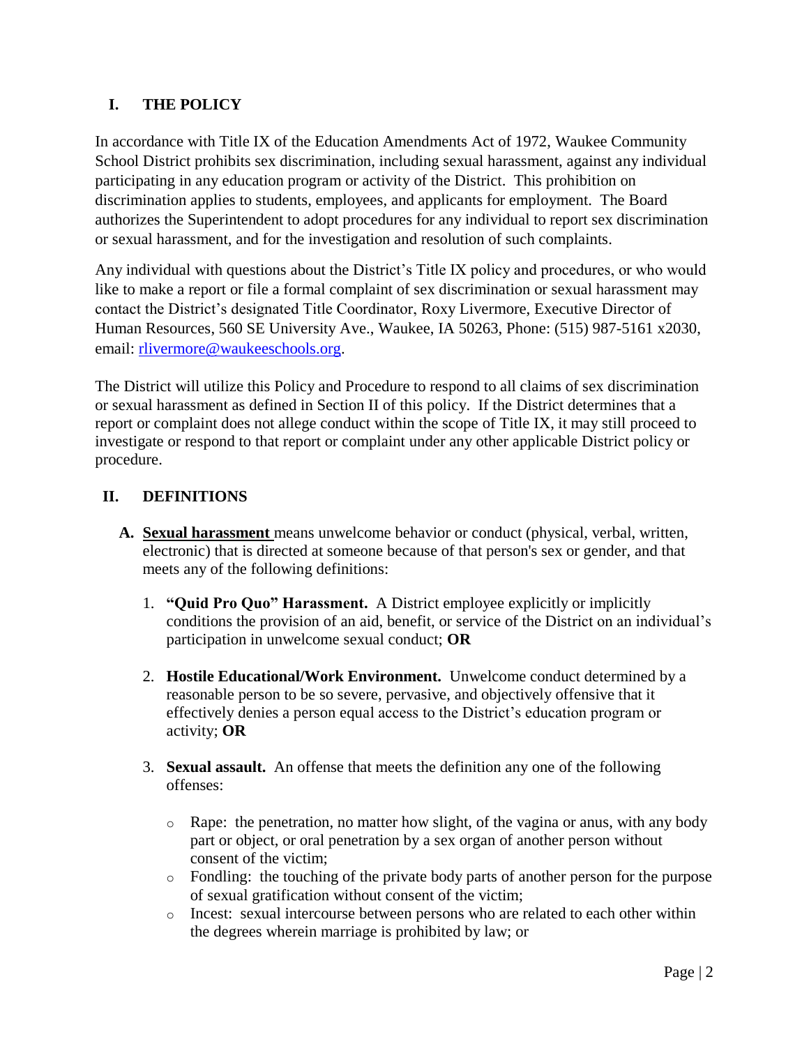# <span id="page-1-0"></span>**I. THE POLICY**

In accordance with Title IX of the Education Amendments Act of 1972, Waukee Community School District prohibits sex discrimination, including sexual harassment, against any individual participating in any education program or activity of the District. This prohibition on discrimination applies to students, employees, and applicants for employment. The Board authorizes the Superintendent to adopt procedures for any individual to report sex discrimination or sexual harassment, and for the investigation and resolution of such complaints.

Any individual with questions about the District's Title IX policy and procedures, or who would like to make a report or file a formal complaint of sex discrimination or sexual harassment may contact the District's designated Title Coordinator, Roxy Livermore, Executive Director of Human Resources, 560 SE University Ave., Waukee, IA 50263, Phone: (515) 987-5161 x2030, email: [rlivermore@waukeeschools.org.](mailto:rlivermore@waukeeschools.org)

The District will utilize this Policy and Procedure to respond to all claims of sex discrimination or sexual harassment as defined in Section II of this policy. If the District determines that a report or complaint does not allege conduct within the scope of Title IX, it may still proceed to investigate or respond to that report or complaint under any other applicable District policy or procedure.

### <span id="page-1-1"></span>**II. DEFINITIONS**

- **A. Sexual harassment** means unwelcome behavior or conduct (physical, verbal, written, electronic) that is directed at someone because of that person's sex or gender, and that meets any of the following definitions:
	- 1. **"Quid Pro Quo" Harassment.** A District employee explicitly or implicitly conditions the provision of an aid, benefit, or service of the District on an individual's participation in unwelcome sexual conduct; **OR**
	- 2. **Hostile Educational/Work Environment.** Unwelcome conduct determined by a reasonable person to be so severe, pervasive, and objectively offensive that it effectively denies a person equal access to the District's education program or activity; **OR**
	- 3. **Sexual assault.** An offense that meets the definition any one of the following offenses:
		- $\circ$  Rape: the penetration, no matter how slight, of the vagina or anus, with any body part or object, or oral penetration by a sex organ of another person without consent of the victim;
		- o Fondling: the touching of the private body parts of another person for the purpose of sexual gratification without consent of the victim;
		- o Incest: sexual intercourse between persons who are related to each other within the degrees wherein marriage is prohibited by law; or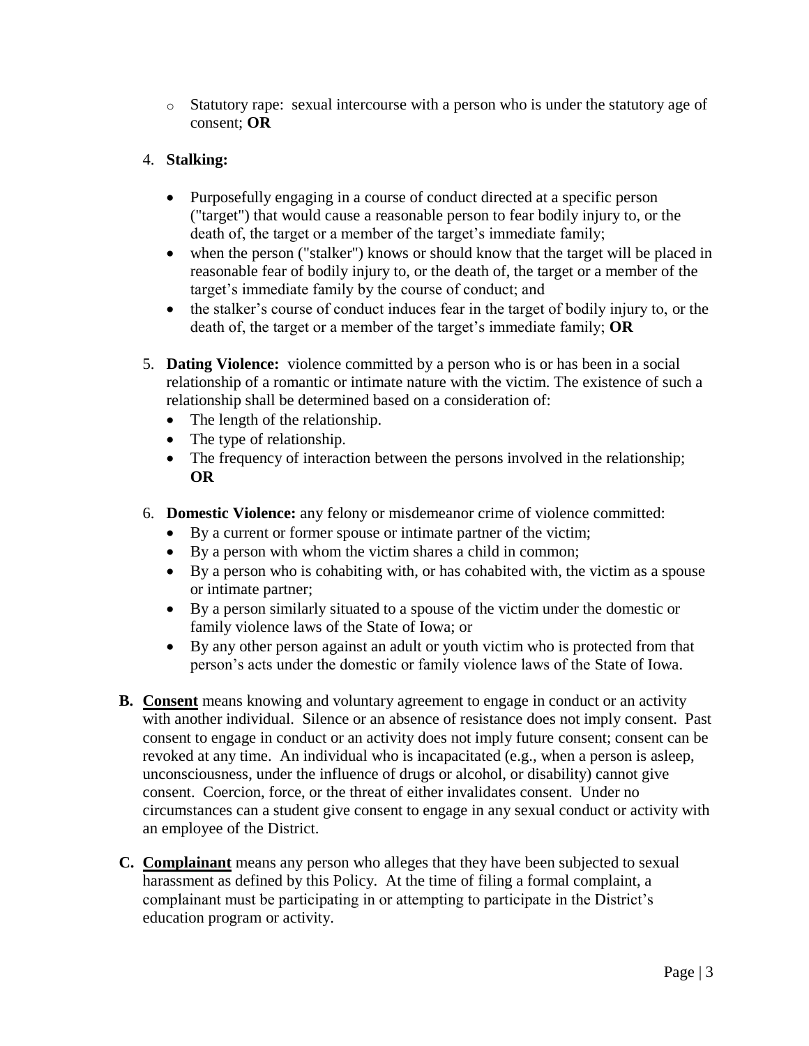o Statutory rape: sexual intercourse with a person who is under the statutory age of consent; **OR**

### 4. **Stalking:**

- Purposefully engaging in a course of conduct directed at a specific person ("target") that would cause a reasonable person to fear bodily injury to, or the death of, the target or a member of the target's immediate family;
- when the person ("stalker") knows or should know that the target will be placed in reasonable fear of bodily injury to, or the death of, the target or a member of the target's immediate family by the course of conduct; and
- the stalker's course of conduct induces fear in the target of bodily injury to, or the death of, the target or a member of the target's immediate family; **OR**
- 5. **Dating Violence:** violence committed by a person who is or has been in a social relationship of a romantic or intimate nature with the victim. The existence of such a relationship shall be determined based on a consideration of:
	- The length of the relationship.
	- The type of relationship.
	- The frequency of interaction between the persons involved in the relationship; **OR**
- 6. **Domestic Violence:** any felony or misdemeanor crime of violence committed:
	- By a current or former spouse or intimate partner of the victim;
	- By a person with whom the victim shares a child in common;
	- By a person who is cohabiting with, or has cohabited with, the victim as a spouse or intimate partner;
	- By a person similarly situated to a spouse of the victim under the domestic or family violence laws of the State of Iowa; or
	- By any other person against an adult or youth victim who is protected from that person's acts under the domestic or family violence laws of the State of Iowa.
- **B. Consent** means knowing and voluntary agreement to engage in conduct or an activity with another individual. Silence or an absence of resistance does not imply consent. Past consent to engage in conduct or an activity does not imply future consent; consent can be revoked at any time. An individual who is incapacitated (e.g., when a person is asleep, unconsciousness, under the influence of drugs or alcohol, or disability) cannot give consent. Coercion, force, or the threat of either invalidates consent. Under no circumstances can a student give consent to engage in any sexual conduct or activity with an employee of the District.
- **C. Complainant** means any person who alleges that they have been subjected to sexual harassment as defined by this Policy. At the time of filing a formal complaint, a complainant must be participating in or attempting to participate in the District's education program or activity.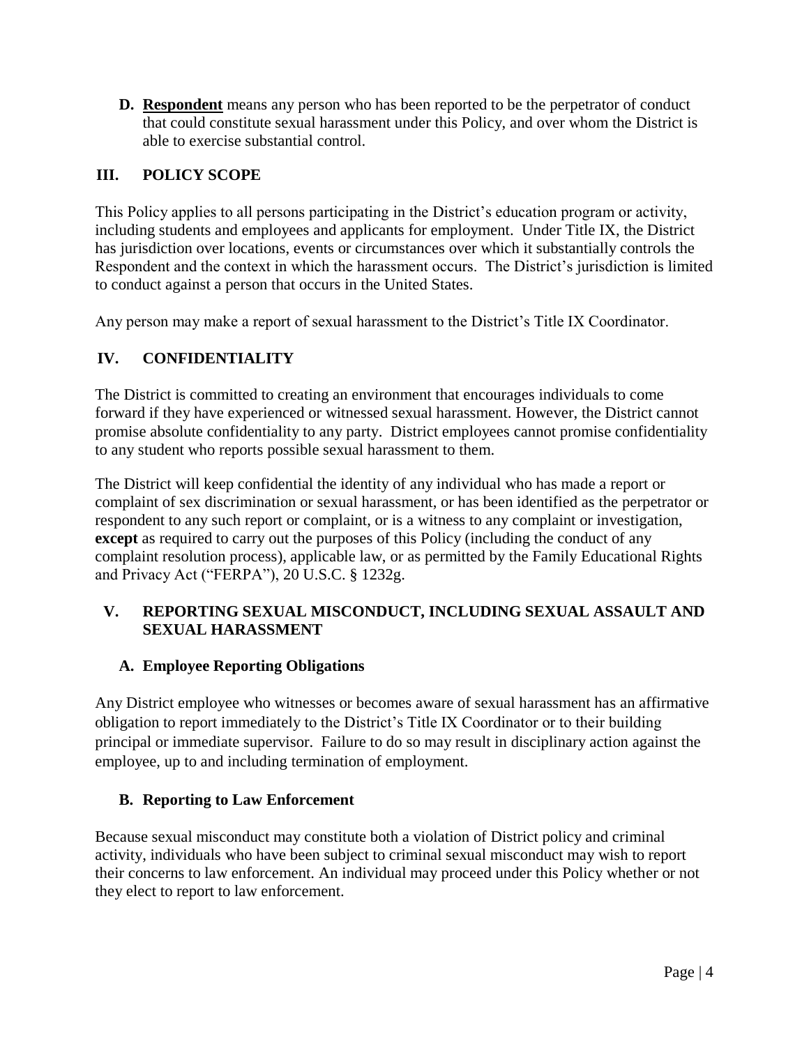**D. Respondent** means any person who has been reported to be the perpetrator of conduct that could constitute sexual harassment under this Policy, and over whom the District is able to exercise substantial control.

### <span id="page-3-0"></span>**III. POLICY SCOPE**

This Policy applies to all persons participating in the District's education program or activity, including students and employees and applicants for employment. Under Title IX, the District has jurisdiction over locations, events or circumstances over which it substantially controls the Respondent and the context in which the harassment occurs. The District's jurisdiction is limited to conduct against a person that occurs in the United States.

Any person may make a report of sexual harassment to the District's Title IX Coordinator.

### <span id="page-3-1"></span>**IV. CONFIDENTIALITY**

The District is committed to creating an environment that encourages individuals to come forward if they have experienced or witnessed sexual harassment. However, the District cannot promise absolute confidentiality to any party. District employees cannot promise confidentiality to any student who reports possible sexual harassment to them.

The District will keep confidential the identity of any individual who has made a report or complaint of sex discrimination or sexual harassment, or has been identified as the perpetrator or respondent to any such report or complaint, or is a witness to any complaint or investigation, **except** as required to carry out the purposes of this Policy (including the conduct of any complaint resolution process), applicable law, or as permitted by the Family Educational Rights and Privacy Act ("FERPA"), 20 U.S.C. § 1232g.

### <span id="page-3-2"></span>**V. REPORTING SEXUAL MISCONDUCT, INCLUDING SEXUAL ASSAULT AND SEXUAL HARASSMENT**

### <span id="page-3-3"></span>**A. Employee Reporting Obligations**

Any District employee who witnesses or becomes aware of sexual harassment has an affirmative obligation to report immediately to the District's Title IX Coordinator or to their building principal or immediate supervisor. Failure to do so may result in disciplinary action against the employee, up to and including termination of employment.

### <span id="page-3-4"></span>**B. Reporting to Law Enforcement**

Because sexual misconduct may constitute both a violation of District policy and criminal activity, individuals who have been subject to criminal sexual misconduct may wish to report their concerns to law enforcement. An individual may proceed under this Policy whether or not they elect to report to law enforcement.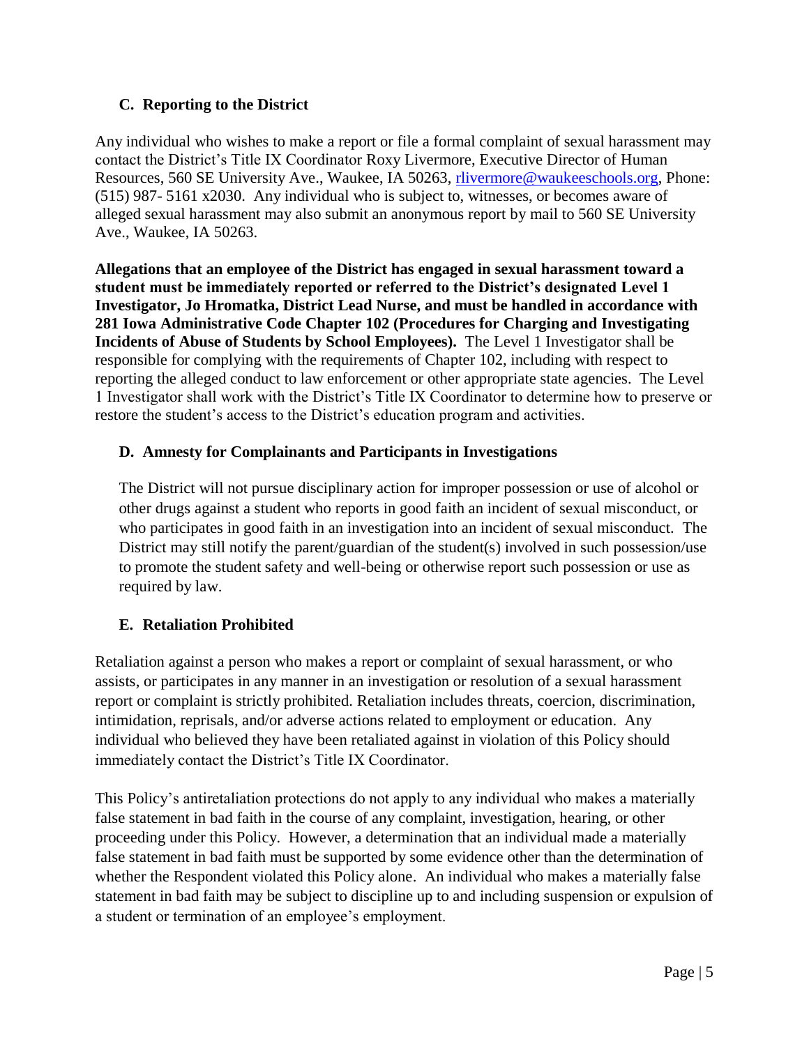### <span id="page-4-0"></span>**C. Reporting to the District**

Any individual who wishes to make a report or file a formal complaint of sexual harassment may contact the District's Title IX Coordinator Roxy Livermore, Executive Director of Human Resources, 560 SE University Ave., Waukee, IA 50263, [rlivermore@waukeeschools.org,](mailto:rlivermore@waukeeschools.org) Phone: (515) 987- 5161 x2030. Any individual who is subject to, witnesses, or becomes aware of alleged sexual harassment may also submit an anonymous report by mail to 560 SE University Ave., Waukee, IA 50263.

**Allegations that an employee of the District has engaged in sexual harassment toward a student must be immediately reported or referred to the District's designated Level 1 Investigator, Jo Hromatka, District Lead Nurse, and must be handled in accordance with 281 Iowa Administrative Code Chapter 102 (Procedures for Charging and Investigating Incidents of Abuse of Students by School Employees).** The Level 1 Investigator shall be responsible for complying with the requirements of Chapter 102, including with respect to reporting the alleged conduct to law enforcement or other appropriate state agencies. The Level 1 Investigator shall work with the District's Title IX Coordinator to determine how to preserve or restore the student's access to the District's education program and activities.

### <span id="page-4-1"></span>**D. Amnesty for Complainants and Participants in Investigations**

<span id="page-4-2"></span>The District will not pursue disciplinary action for improper possession or use of alcohol or other drugs against a student who reports in good faith an incident of sexual misconduct, or who participates in good faith in an investigation into an incident of sexual misconduct. The District may still notify the parent/guardian of the student(s) involved in such possession/use to promote the student safety and well-being or otherwise report such possession or use as required by law.

# **E. Retaliation Prohibited**

Retaliation against a person who makes a report or complaint of sexual harassment, or who assists, or participates in any manner in an investigation or resolution of a sexual harassment report or complaint is strictly prohibited. Retaliation includes threats, coercion, discrimination, intimidation, reprisals, and/or adverse actions related to employment or education. Any individual who believed they have been retaliated against in violation of this Policy should immediately contact the District's Title IX Coordinator.

This Policy's antiretaliation protections do not apply to any individual who makes a materially false statement in bad faith in the course of any complaint, investigation, hearing, or other proceeding under this Policy. However, a determination that an individual made a materially false statement in bad faith must be supported by some evidence other than the determination of whether the Respondent violated this Policy alone. An individual who makes a materially false statement in bad faith may be subject to discipline up to and including suspension or expulsion of a student or termination of an employee's employment.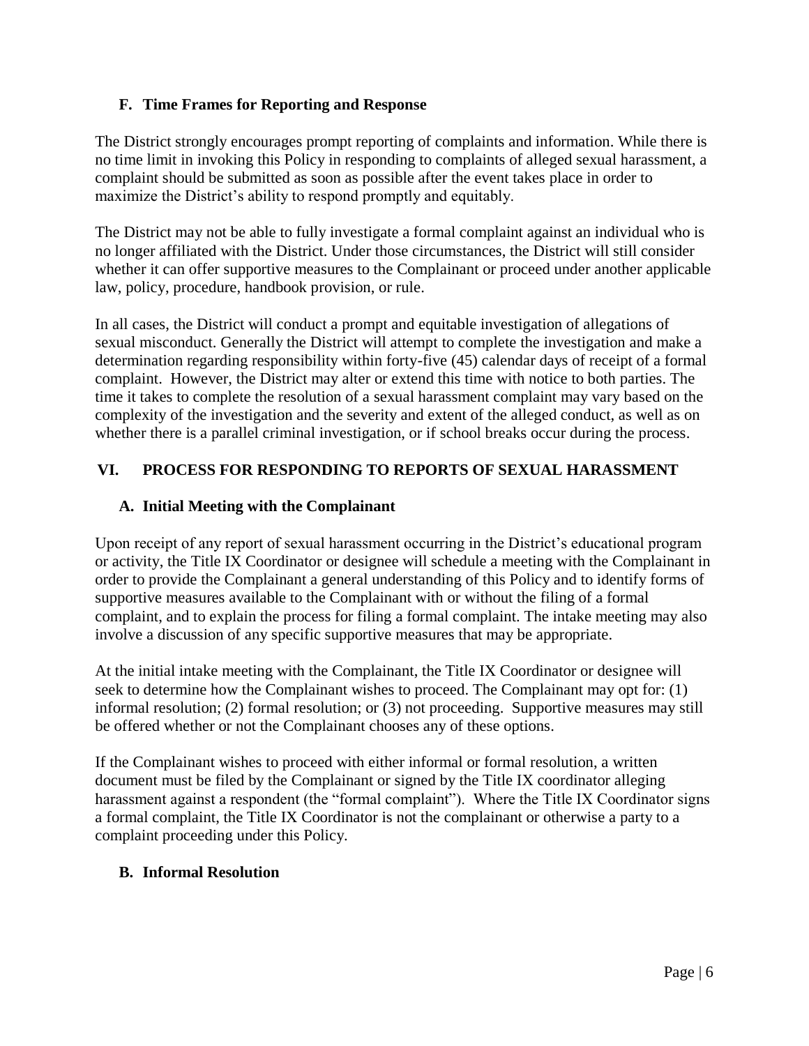### <span id="page-5-0"></span>**F. Time Frames for Reporting and Response**

The District strongly encourages prompt reporting of complaints and information. While there is no time limit in invoking this Policy in responding to complaints of alleged sexual harassment, a complaint should be submitted as soon as possible after the event takes place in order to maximize the District's ability to respond promptly and equitably.

The District may not be able to fully investigate a formal complaint against an individual who is no longer affiliated with the District. Under those circumstances, the District will still consider whether it can offer supportive measures to the Complainant or proceed under another applicable law, policy, procedure, handbook provision, or rule.

In all cases, the District will conduct a prompt and equitable investigation of allegations of sexual misconduct. Generally the District will attempt to complete the investigation and make a determination regarding responsibility within forty-five (45) calendar days of receipt of a formal complaint. However, the District may alter or extend this time with notice to both parties. The time it takes to complete the resolution of a sexual harassment complaint may vary based on the complexity of the investigation and the severity and extent of the alleged conduct, as well as on whether there is a parallel criminal investigation, or if school breaks occur during the process.

# <span id="page-5-1"></span>**VI. PROCESS FOR RESPONDING TO REPORTS OF SEXUAL HARASSMENT**

### <span id="page-5-2"></span>**A. Initial Meeting with the Complainant**

Upon receipt of any report of sexual harassment occurring in the District's educational program or activity, the Title IX Coordinator or designee will schedule a meeting with the Complainant in order to provide the Complainant a general understanding of this Policy and to identify forms of supportive measures available to the Complainant with or without the filing of a formal complaint, and to explain the process for filing a formal complaint. The intake meeting may also involve a discussion of any specific supportive measures that may be appropriate.

At the initial intake meeting with the Complainant, the Title IX Coordinator or designee will seek to determine how the Complainant wishes to proceed. The Complainant may opt for: (1) informal resolution; (2) formal resolution; or (3) not proceeding. Supportive measures may still be offered whether or not the Complainant chooses any of these options.

If the Complainant wishes to proceed with either informal or formal resolution, a written document must be filed by the Complainant or signed by the Title IX coordinator alleging harassment against a respondent (the "formal complaint"). Where the Title IX Coordinator signs a formal complaint, the Title IX Coordinator is not the complainant or otherwise a party to a complaint proceeding under this Policy.

### <span id="page-5-3"></span>**B. Informal Resolution**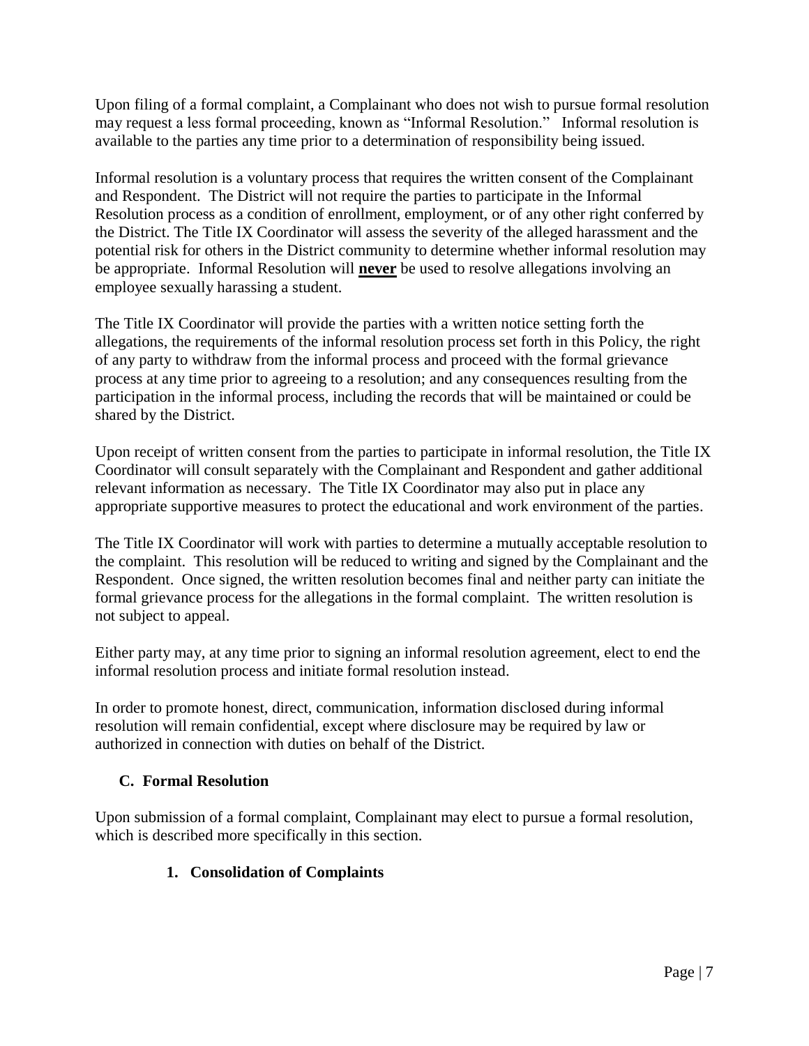Upon filing of a formal complaint, a Complainant who does not wish to pursue formal resolution may request a less formal proceeding, known as "Informal Resolution." Informal resolution is available to the parties any time prior to a determination of responsibility being issued.

Informal resolution is a voluntary process that requires the written consent of the Complainant and Respondent. The District will not require the parties to participate in the Informal Resolution process as a condition of enrollment, employment, or of any other right conferred by the District. The Title IX Coordinator will assess the severity of the alleged harassment and the potential risk for others in the District community to determine whether informal resolution may be appropriate. Informal Resolution will **never** be used to resolve allegations involving an employee sexually harassing a student.

The Title IX Coordinator will provide the parties with a written notice setting forth the allegations, the requirements of the informal resolution process set forth in this Policy, the right of any party to withdraw from the informal process and proceed with the formal grievance process at any time prior to agreeing to a resolution; and any consequences resulting from the participation in the informal process, including the records that will be maintained or could be shared by the District.

Upon receipt of written consent from the parties to participate in informal resolution, the Title IX Coordinator will consult separately with the Complainant and Respondent and gather additional relevant information as necessary. The Title IX Coordinator may also put in place any appropriate supportive measures to protect the educational and work environment of the parties.

The Title IX Coordinator will work with parties to determine a mutually acceptable resolution to the complaint. This resolution will be reduced to writing and signed by the Complainant and the Respondent. Once signed, the written resolution becomes final and neither party can initiate the formal grievance process for the allegations in the formal complaint. The written resolution is not subject to appeal.

Either party may, at any time prior to signing an informal resolution agreement, elect to end the informal resolution process and initiate formal resolution instead.

In order to promote honest, direct, communication, information disclosed during informal resolution will remain confidential, except where disclosure may be required by law or authorized in connection with duties on behalf of the District.

### <span id="page-6-0"></span>**C. Formal Resolution**

Upon submission of a formal complaint, Complainant may elect to pursue a formal resolution, which is described more specifically in this section.

# **1. Consolidation of Complaints**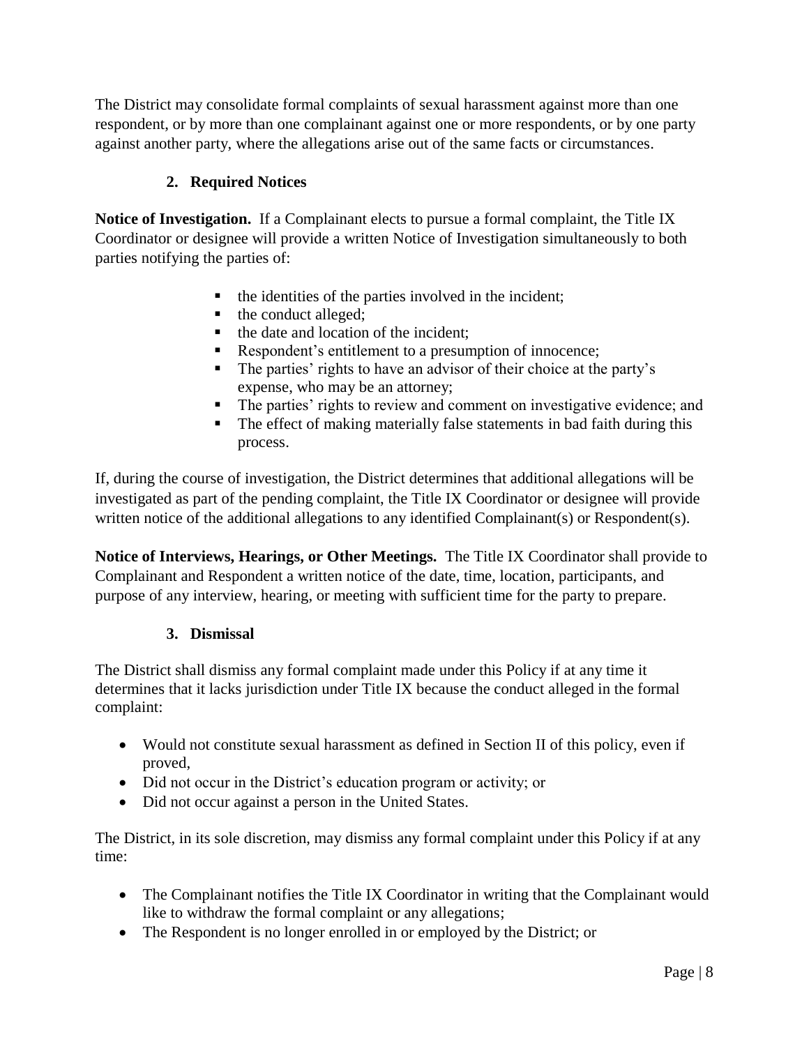The District may consolidate formal complaints of sexual harassment against more than one respondent, or by more than one complainant against one or more respondents, or by one party against another party, where the allegations arise out of the same facts or circumstances.

# **2. Required Notices**

**Notice of Investigation.** If a Complainant elects to pursue a formal complaint, the Title IX Coordinator or designee will provide a written Notice of Investigation simultaneously to both parties notifying the parties of:

- the identities of the parties involved in the incident;
- the conduct alleged;
- $\blacksquare$  the date and location of the incident;
- Respondent's entitlement to a presumption of innocence;
- The parties' rights to have an advisor of their choice at the party's expense, who may be an attorney;
- The parties' rights to review and comment on investigative evidence; and
- The effect of making materially false statements in bad faith during this process.

If, during the course of investigation, the District determines that additional allegations will be investigated as part of the pending complaint, the Title IX Coordinator or designee will provide written notice of the additional allegations to any identified Complainant(s) or Respondent(s).

**Notice of Interviews, Hearings, or Other Meetings.** The Title IX Coordinator shall provide to Complainant and Respondent a written notice of the date, time, location, participants, and purpose of any interview, hearing, or meeting with sufficient time for the party to prepare.

# **3. Dismissal**

The District shall dismiss any formal complaint made under this Policy if at any time it determines that it lacks jurisdiction under Title IX because the conduct alleged in the formal complaint:

- Would not constitute sexual harassment as defined in Section II of this policy, even if proved,
- Did not occur in the District's education program or activity; or
- Did not occur against a person in the United States.

The District, in its sole discretion, may dismiss any formal complaint under this Policy if at any time:

- The Complainant notifies the Title IX Coordinator in writing that the Complainant would like to withdraw the formal complaint or any allegations;
- The Respondent is no longer enrolled in or employed by the District; or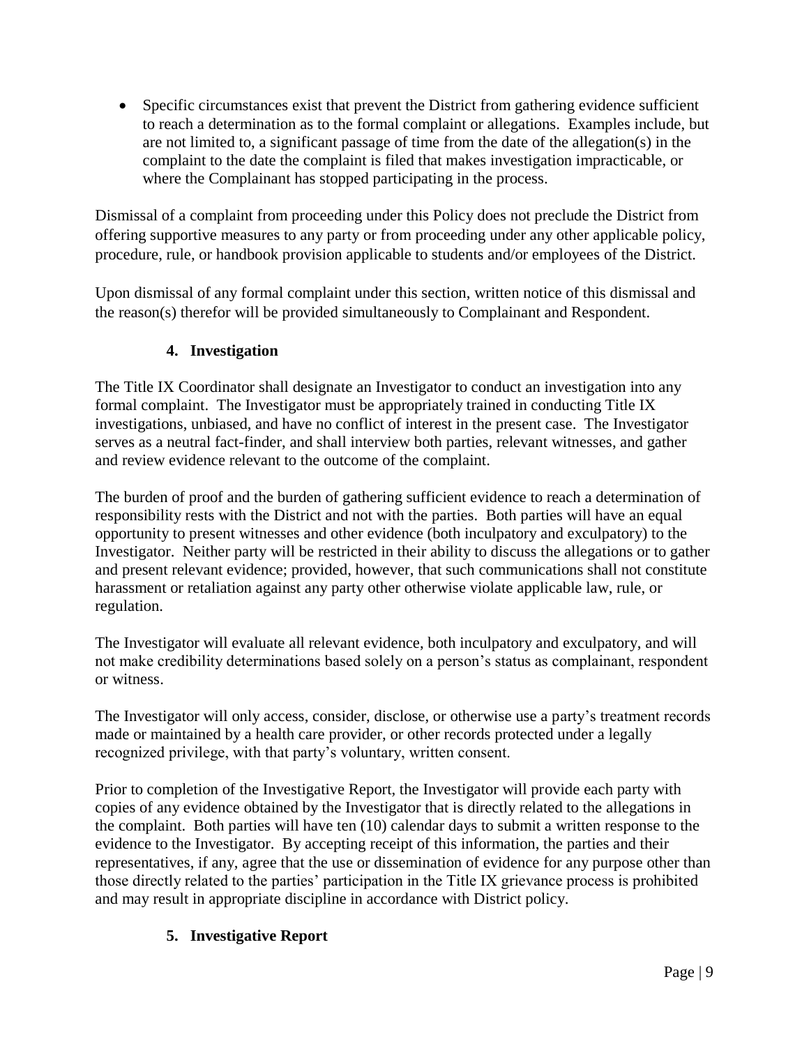Specific circumstances exist that prevent the District from gathering evidence sufficient to reach a determination as to the formal complaint or allegations. Examples include, but are not limited to, a significant passage of time from the date of the allegation(s) in the complaint to the date the complaint is filed that makes investigation impracticable, or where the Complainant has stopped participating in the process.

Dismissal of a complaint from proceeding under this Policy does not preclude the District from offering supportive measures to any party or from proceeding under any other applicable policy, procedure, rule, or handbook provision applicable to students and/or employees of the District.

Upon dismissal of any formal complaint under this section, written notice of this dismissal and the reason(s) therefor will be provided simultaneously to Complainant and Respondent.

# **4. Investigation**

The Title IX Coordinator shall designate an Investigator to conduct an investigation into any formal complaint. The Investigator must be appropriately trained in conducting Title IX investigations, unbiased, and have no conflict of interest in the present case. The Investigator serves as a neutral fact-finder, and shall interview both parties, relevant witnesses, and gather and review evidence relevant to the outcome of the complaint.

The burden of proof and the burden of gathering sufficient evidence to reach a determination of responsibility rests with the District and not with the parties. Both parties will have an equal opportunity to present witnesses and other evidence (both inculpatory and exculpatory) to the Investigator. Neither party will be restricted in their ability to discuss the allegations or to gather and present relevant evidence; provided, however, that such communications shall not constitute harassment or retaliation against any party other otherwise violate applicable law, rule, or regulation.

The Investigator will evaluate all relevant evidence, both inculpatory and exculpatory, and will not make credibility determinations based solely on a person's status as complainant, respondent or witness.

The Investigator will only access, consider, disclose, or otherwise use a party's treatment records made or maintained by a health care provider, or other records protected under a legally recognized privilege, with that party's voluntary, written consent.

Prior to completion of the Investigative Report, the Investigator will provide each party with copies of any evidence obtained by the Investigator that is directly related to the allegations in the complaint. Both parties will have ten (10) calendar days to submit a written response to the evidence to the Investigator. By accepting receipt of this information, the parties and their representatives, if any, agree that the use or dissemination of evidence for any purpose other than those directly related to the parties' participation in the Title IX grievance process is prohibited and may result in appropriate discipline in accordance with District policy.

# **5. Investigative Report**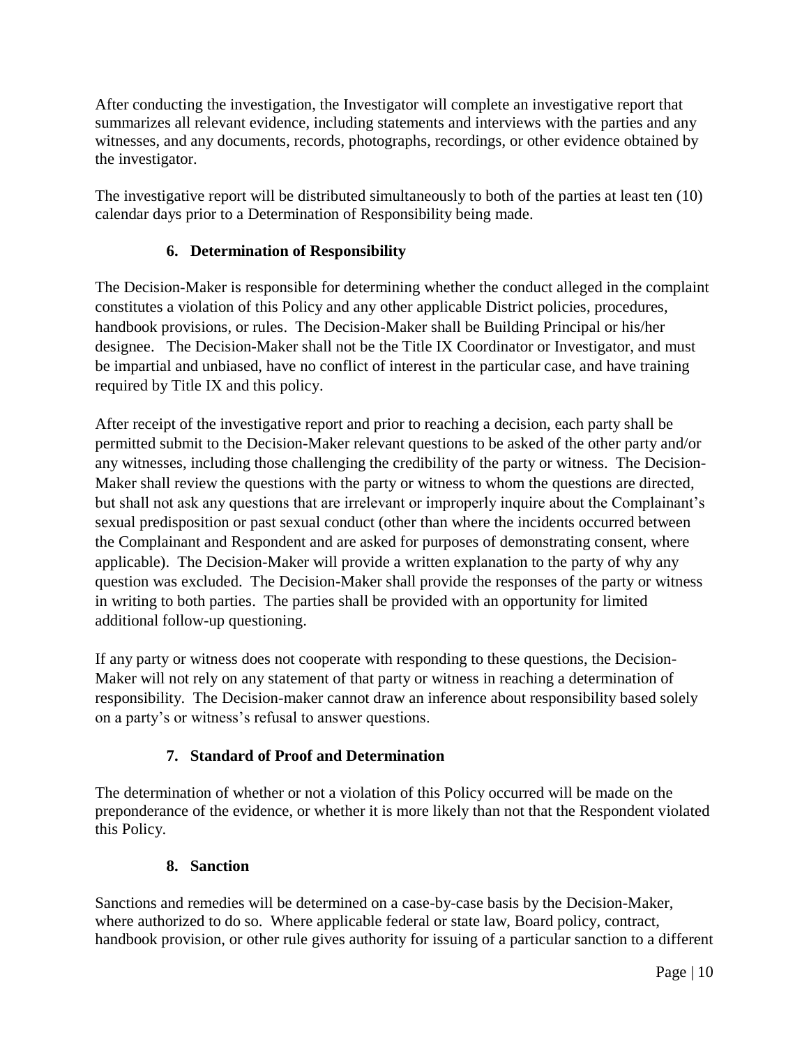After conducting the investigation, the Investigator will complete an investigative report that summarizes all relevant evidence, including statements and interviews with the parties and any witnesses, and any documents, records, photographs, recordings, or other evidence obtained by the investigator.

The investigative report will be distributed simultaneously to both of the parties at least ten (10) calendar days prior to a Determination of Responsibility being made.

# **6. Determination of Responsibility**

The Decision-Maker is responsible for determining whether the conduct alleged in the complaint constitutes a violation of this Policy and any other applicable District policies, procedures, handbook provisions, or rules. The Decision-Maker shall be Building Principal or his/her designee. The Decision-Maker shall not be the Title IX Coordinator or Investigator, and must be impartial and unbiased, have no conflict of interest in the particular case, and have training required by Title IX and this policy.

After receipt of the investigative report and prior to reaching a decision, each party shall be permitted submit to the Decision-Maker relevant questions to be asked of the other party and/or any witnesses, including those challenging the credibility of the party or witness. The Decision-Maker shall review the questions with the party or witness to whom the questions are directed, but shall not ask any questions that are irrelevant or improperly inquire about the Complainant's sexual predisposition or past sexual conduct (other than where the incidents occurred between the Complainant and Respondent and are asked for purposes of demonstrating consent, where applicable). The Decision-Maker will provide a written explanation to the party of why any question was excluded. The Decision-Maker shall provide the responses of the party or witness in writing to both parties. The parties shall be provided with an opportunity for limited additional follow-up questioning.

If any party or witness does not cooperate with responding to these questions, the Decision-Maker will not rely on any statement of that party or witness in reaching a determination of responsibility. The Decision-maker cannot draw an inference about responsibility based solely on a party's or witness's refusal to answer questions.

### **7. Standard of Proof and Determination**

The determination of whether or not a violation of this Policy occurred will be made on the preponderance of the evidence, or whether it is more likely than not that the Respondent violated this Policy.

### **8. Sanction**

Sanctions and remedies will be determined on a case-by-case basis by the Decision-Maker, where authorized to do so. Where applicable federal or state law, Board policy, contract, handbook provision, or other rule gives authority for issuing of a particular sanction to a different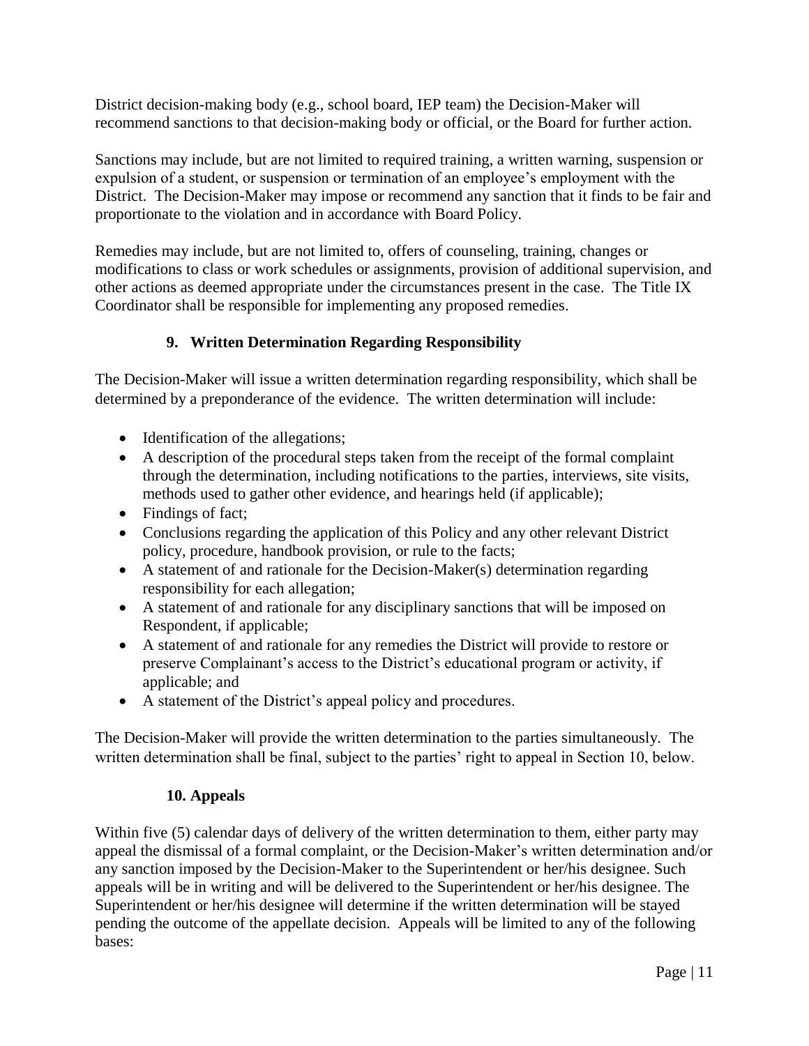District decision-making body (e.g., school board, IEP team) the Decision-Maker will recommend sanctions to that decision-making body or official, or the Board for further action.

Sanctions may include, but are not limited to required training, a written warning, suspension or expulsion of a student, or suspension or termination of an employee's employment with the District. The Decision-Maker may impose or recommend any sanction that it finds to be fair and proportionate to the violation and in accordance with Board Policy.

Remedies may include, but are not limited to, offers of counseling, training, changes or modifications to class or work schedules or assignments, provision of additional supervision, and other actions as deemed appropriate under the circumstances present in the case. The Title IX Coordinator shall be responsible for implementing any proposed remedies.

# **9. Written Determination Regarding Responsibility**

The Decision-Maker will issue a written determination regarding responsibility, which shall be determined by a preponderance of the evidence. The written determination will include:

- Identification of the allegations;
- A description of the procedural steps taken from the receipt of the formal complaint through the determination, including notifications to the parties, interviews, site visits, methods used to gather other evidence, and hearings held (if applicable);
- Findings of fact;
- Conclusions regarding the application of this Policy and any other relevant District policy, procedure, handbook provision, or rule to the facts;
- A statement of and rationale for the Decision-Maker(s) determination regarding responsibility for each allegation;
- A statement of and rationale for any disciplinary sanctions that will be imposed on Respondent, if applicable;
- A statement of and rationale for any remedies the District will provide to restore or preserve Complainant's access to the District's educational program or activity, if applicable; and
- A statement of the District's appeal policy and procedures.

The Decision-Maker will provide the written determination to the parties simultaneously. The written determination shall be final, subject to the parties' right to appeal in Section 10, below.

### **10. Appeals**

Within five (5) calendar days of delivery of the written determination to them, either party may appeal the dismissal of a formal complaint, or the Decision-Maker's written determination and/or any sanction imposed by the Decision-Maker to the Superintendent or her/his designee. Such appeals will be in writing and will be delivered to the Superintendent or her/his designee. The Superintendent or her/his designee will determine if the written determination will be stayed pending the outcome of the appellate decision. Appeals will be limited to any of the following bases: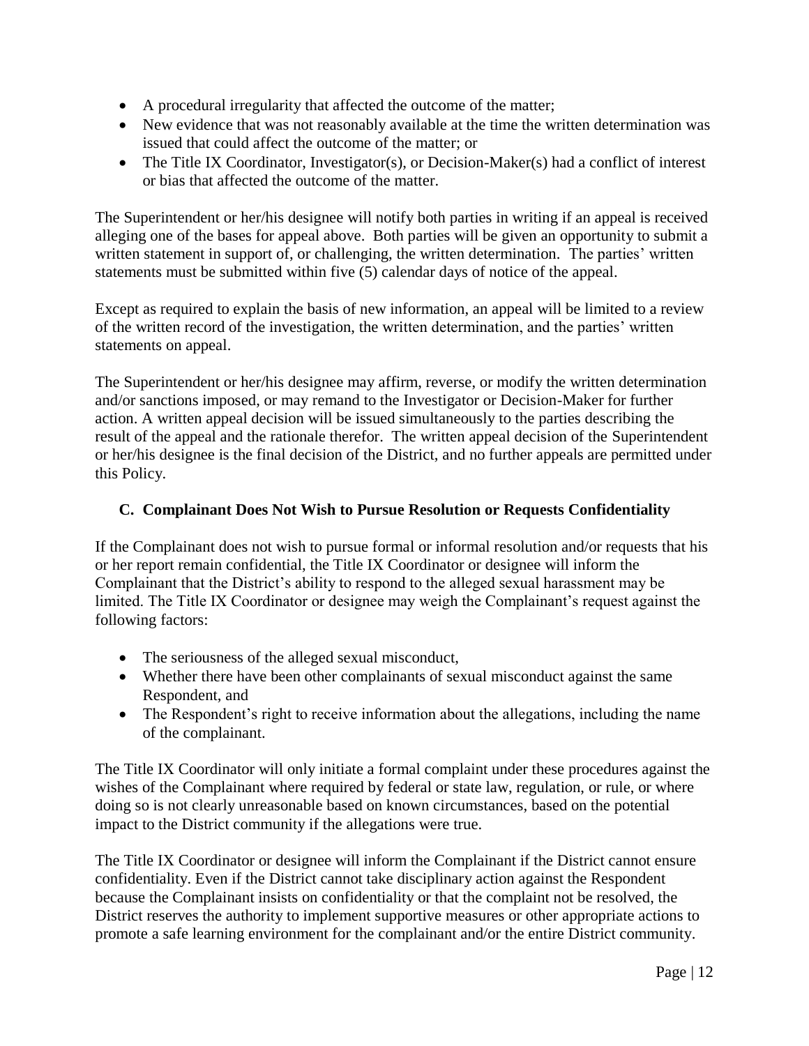- A procedural irregularity that affected the outcome of the matter;
- New evidence that was not reasonably available at the time the written determination was issued that could affect the outcome of the matter; or
- The Title IX Coordinator, Investigator(s), or Decision-Maker(s) had a conflict of interest or bias that affected the outcome of the matter.

The Superintendent or her/his designee will notify both parties in writing if an appeal is received alleging one of the bases for appeal above. Both parties will be given an opportunity to submit a written statement in support of, or challenging, the written determination. The parties' written statements must be submitted within five (5) calendar days of notice of the appeal.

Except as required to explain the basis of new information, an appeal will be limited to a review of the written record of the investigation, the written determination, and the parties' written statements on appeal.

The Superintendent or her/his designee may affirm, reverse, or modify the written determination and/or sanctions imposed, or may remand to the Investigator or Decision-Maker for further action. A written appeal decision will be issued simultaneously to the parties describing the result of the appeal and the rationale therefor. The written appeal decision of the Superintendent or her/his designee is the final decision of the District, and no further appeals are permitted under this Policy.

### <span id="page-11-0"></span>**C. Complainant Does Not Wish to Pursue Resolution or Requests Confidentiality**

If the Complainant does not wish to pursue formal or informal resolution and/or requests that his or her report remain confidential, the Title IX Coordinator or designee will inform the Complainant that the District's ability to respond to the alleged sexual harassment may be limited. The Title IX Coordinator or designee may weigh the Complainant's request against the following factors:

- The seriousness of the alleged sexual misconduct,
- Whether there have been other complainants of sexual misconduct against the same Respondent, and
- The Respondent's right to receive information about the allegations, including the name of the complainant.

The Title IX Coordinator will only initiate a formal complaint under these procedures against the wishes of the Complainant where required by federal or state law, regulation, or rule, or where doing so is not clearly unreasonable based on known circumstances, based on the potential impact to the District community if the allegations were true.

The Title IX Coordinator or designee will inform the Complainant if the District cannot ensure confidentiality. Even if the District cannot take disciplinary action against the Respondent because the Complainant insists on confidentiality or that the complaint not be resolved, the District reserves the authority to implement supportive measures or other appropriate actions to promote a safe learning environment for the complainant and/or the entire District community.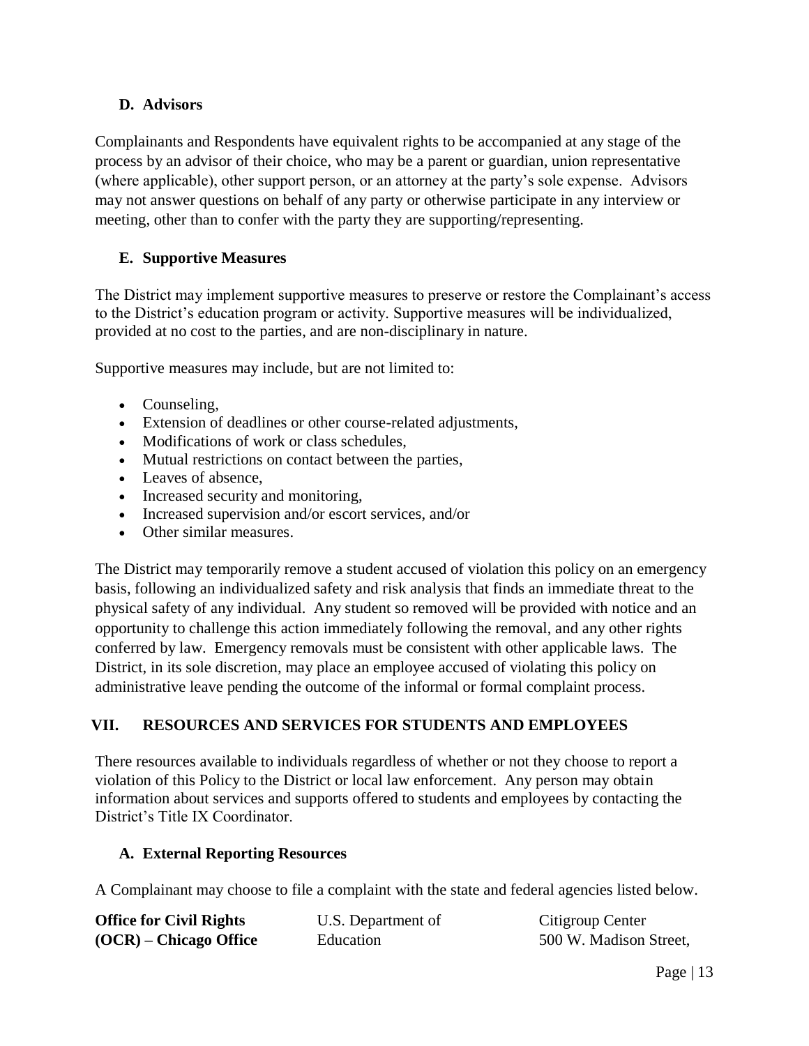### <span id="page-12-0"></span>**D. Advisors**

Complainants and Respondents have equivalent rights to be accompanied at any stage of the process by an advisor of their choice, who may be a parent or guardian, union representative (where applicable), other support person, or an attorney at the party's sole expense. Advisors may not answer questions on behalf of any party or otherwise participate in any interview or meeting, other than to confer with the party they are supporting/representing.

### <span id="page-12-1"></span>**E. Supportive Measures**

The District may implement supportive measures to preserve or restore the Complainant's access to the District's education program or activity. Supportive measures will be individualized, provided at no cost to the parties, and are non-disciplinary in nature.

Supportive measures may include, but are not limited to:

- Counseling,
- Extension of deadlines or other course-related adjustments,
- Modifications of work or class schedules,
- Mutual restrictions on contact between the parties,
- Leaves of absence,
- Increased security and monitoring,
- Increased supervision and/or escort services, and/or
- Other similar measures.

The District may temporarily remove a student accused of violation this policy on an emergency basis, following an individualized safety and risk analysis that finds an immediate threat to the physical safety of any individual. Any student so removed will be provided with notice and an opportunity to challenge this action immediately following the removal, and any other rights conferred by law. Emergency removals must be consistent with other applicable laws. The District, in its sole discretion, may place an employee accused of violating this policy on administrative leave pending the outcome of the informal or formal complaint process.

# <span id="page-12-2"></span>**VII. RESOURCES AND SERVICES FOR STUDENTS AND EMPLOYEES**

There resources available to individuals regardless of whether or not they choose to report a violation of this Policy to the District or local law enforcement. Any person may obtain information about services and supports offered to students and employees by contacting the District's Title IX Coordinator.

### **A. External Reporting Resources**

A Complainant may choose to file a complaint with the state and federal agencies listed below.

| <b>Office for Civil Rights</b> | U.S. Department of | Citigroup Center       |
|--------------------------------|--------------------|------------------------|
| $(OCR)$ – Chicago Office       | Education          | 500 W. Madison Street, |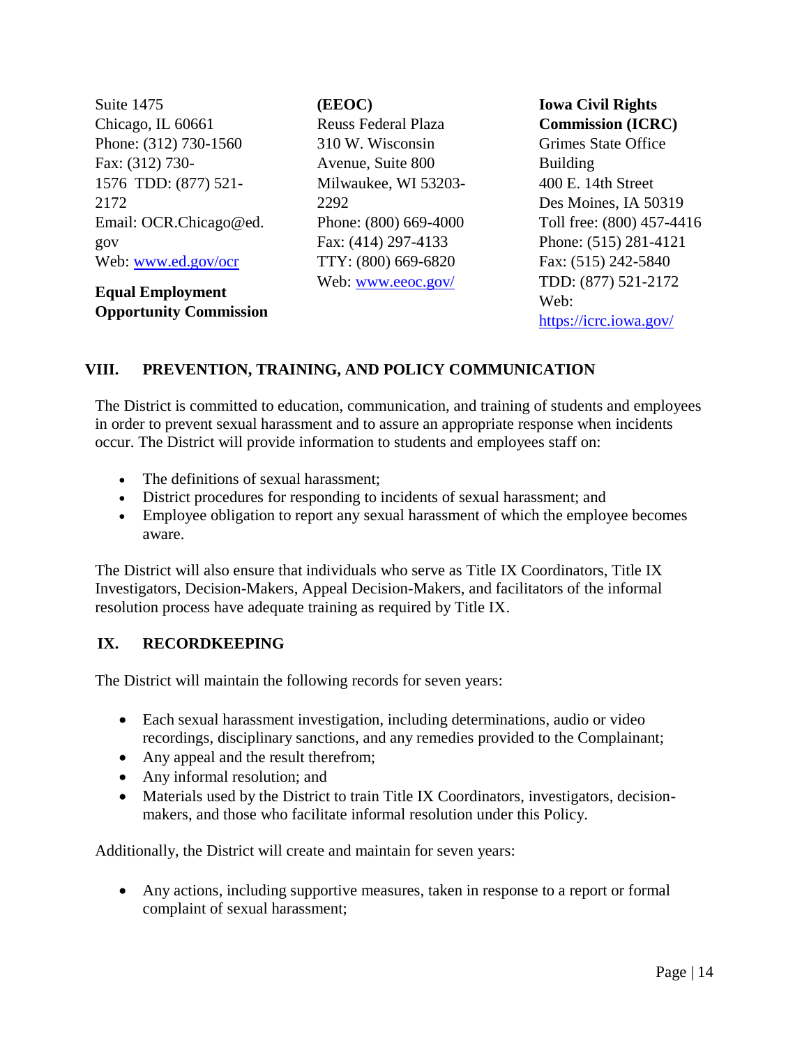Suite 1475 Chicago, IL 60661 Phone: (312) 730-1560 Fax: (312) 730- 1576 TDD: (877) 521- 2172 Email: OCR.Chicago@ed. gov Web: [www.ed.gov/ocr](http://www.ed.gov/ocr)

**Equal Employment Opportunity Commission**  **(EEOC)**

Reuss Federal Plaza 310 W. Wisconsin Avenue, Suite 800 Milwaukee, WI 53203- 2292 Phone: (800) 669-4000 Fax: (414) 297-4133 TTY: (800) 669-6820 Web: [www.eeoc.gov/](http://www.eeoc.gov/)

**Iowa Civil Rights Commission (ICRC)** Grimes State Office Building 400 E. 14th Street Des Moines, IA 50319 Toll free: (800) 457-4416 Phone: (515) 281-4121 Fax: (515) 242-5840 TDD: (877) 521-2172 Web: [https://icrc.iowa.gov/](http://icrc.iowa.gov/) 

### <span id="page-13-0"></span>**VIII. PREVENTION, TRAINING, AND POLICY COMMUNICATION**

The District is committed to education, communication, and training of students and employees in order to prevent sexual harassment and to assure an appropriate response when incidents occur. The District will provide information to students and employees staff on:

- The definitions of sexual harassment:
- District procedures for responding to incidents of sexual harassment; and
- Employee obligation to report any sexual harassment of which the employee becomes aware.

The District will also ensure that individuals who serve as Title IX Coordinators, Title IX Investigators, Decision-Makers, Appeal Decision-Makers, and facilitators of the informal resolution process have adequate training as required by Title IX.

### <span id="page-13-1"></span>**IX. RECORDKEEPING**

The District will maintain the following records for seven years:

- Each sexual harassment investigation, including determinations, audio or video recordings, disciplinary sanctions, and any remedies provided to the Complainant;
- Any appeal and the result therefrom;
- Any informal resolution; and
- Materials used by the District to train Title IX Coordinators, investigators, decisionmakers, and those who facilitate informal resolution under this Policy.

Additionally, the District will create and maintain for seven years:

 Any actions, including supportive measures, taken in response to a report or formal complaint of sexual harassment;